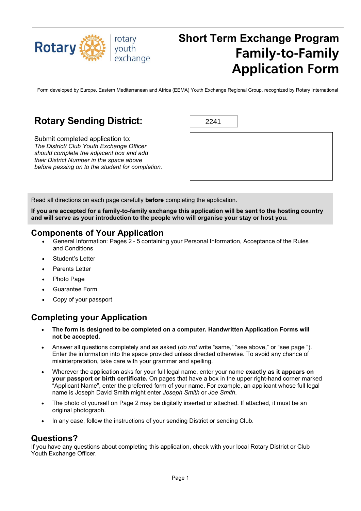

# **Short Term Exchange Program Family-to-Family Application Form**

Form developed by Europe, Eastern Mediterranean and Africa (EEMA) Youth Exchange Regional Group, recognized by Rotary International

# **Rotary Sending District:**

Submit completed application to: *The District/ Club Youth Exchange Officer should complete the adjacent box and add their District Number in the space above before passing on to the student for completion.*

Read all directions on each page carefully **before** completing the application.

**If you are accepted for a family-to-family exchange this application will be sent to the hosting country and will serve as your introduction to the people who will organise your stay or host you.**

### **Components of Your Application**

- General Information: Pages 2 5 containing your Personal Information, Acceptance of the Rules and Conditions
- Student's Letter
- Parents Letter
- Photo Page
- Guarantee Form
- Copy of your passport

### **Completing your Application**

- **The form is designed to be completed on a computer. Handwritten Application Forms will not be accepted.**
- Answer all questions completely and as asked (*do not* write "same," "see above," or "see page "). Enter the information into the space provided unless directed otherwise. To avoid any chance of misinterpretation, take care with your grammar and spelling.
- Wherever the application asks for your full legal name, enter your name **exactly as it appears on your passport or birth certificate.** On pages that have a box in the upper right-hand corner marked "Applicant Name", enter the preferred form of your name. For example, an applicant whose full legal name is Joseph David Smith might enter *Joseph Smith* or *Joe Smith*.
- The photo of yourself on Page 2 may be digitally inserted or attached. If attached, it must be an original photograph.
- In any case, follow the instructions of your sending District or sending Club.

### **Questions?**

If you have any questions about completing this application, check with your local Rotary District or Club Youth Exchange Officer.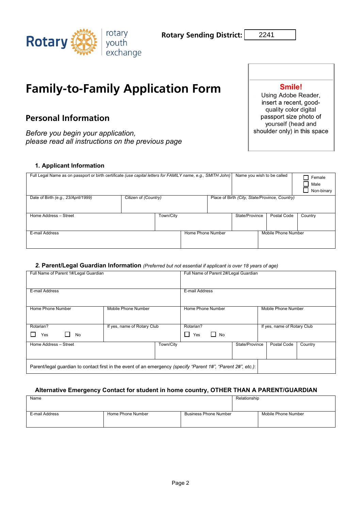

2241

# **Family-to-Family Application Form**

# **Personal Information**

*Before you begin your application, please read all instructions on the previous page*

### **1. Applicant Information**

| Full Legal Name as on passport or birth certificate (use capital letters for FAMILY name, e.g., SMITH John) |                      |                   | Name you wish to be called                     |                     | Female<br>Male<br>Non-binary |
|-------------------------------------------------------------------------------------------------------------|----------------------|-------------------|------------------------------------------------|---------------------|------------------------------|
| Date of Birth (e.g., 23/April/1999)                                                                         | Citizen of (Country) |                   | Place of Birth (City, State/Province, Country) |                     |                              |
| Home Address - Street                                                                                       | Town/City            |                   | State/Province                                 | Postal Code         | Country                      |
| E-mail Address                                                                                              |                      | Home Phone Number |                                                | Mobile Phone Number |                              |

### *2.* **Parent/Legal Guardian Information** *(Preferred but not essential if applicant is over 18 years of age)*

| Full Name of Parent 1#/Legal Guardian                                                                         |                             | Full Name of Parent 2#/Legal Guardian |                |                             |         |
|---------------------------------------------------------------------------------------------------------------|-----------------------------|---------------------------------------|----------------|-----------------------------|---------|
|                                                                                                               |                             |                                       |                |                             |         |
| E-mail Address                                                                                                |                             | E-mail Address                        |                |                             |         |
|                                                                                                               |                             |                                       |                |                             |         |
| Home Phone Number                                                                                             | Mobile Phone Number         | Home Phone Number                     |                | Mobile Phone Number         |         |
|                                                                                                               |                             |                                       |                |                             |         |
| Rotarian?                                                                                                     | If yes, name of Rotary Club | Rotarian?                             |                | If yes, name of Rotary Club |         |
| No<br>Yes                                                                                                     |                             | $\Box$ No<br>U<br>Yes                 |                |                             |         |
| Home Address - Street                                                                                         | Town/City                   |                                       | State/Province | Postal Code                 | Country |
|                                                                                                               |                             |                                       |                |                             |         |
| Parent/legal guardian to contact first in the event of an emergency (specify "Parent 1#", "Parent 2#", etc.): |                             |                                       |                |                             |         |

### **Alternative Emergency Contact for student in home country, OTHER THAN A PARENT/GUARDIAN**

| Name           |                   | Relationship                 |  |                     |
|----------------|-------------------|------------------------------|--|---------------------|
| E-mail Address | Home Phone Number | <b>Business Phone Number</b> |  | Mobile Phone Number |

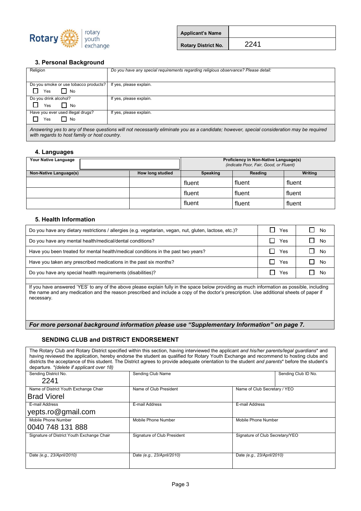

| <b>Applicant's Name</b>    |      |  |
|----------------------------|------|--|
| <b>Rotary District No.</b> | 2241 |  |

### **3. Personal Background**

| Religion                                     | Do you have any special requirements regarding religious observance? Please detail:                                                       |
|----------------------------------------------|-------------------------------------------------------------------------------------------------------------------------------------------|
|                                              |                                                                                                                                           |
| Do you smoke or use tobacco products?        | If yes, please explain.                                                                                                                   |
| $\blacksquare$ No<br>l I<br>Yes              |                                                                                                                                           |
| Do you drink alcohol?                        | If yes, please explain.                                                                                                                   |
| $\overline{\phantom{a}}$ No<br>Yes           |                                                                                                                                           |
| Have you ever used illegal drugs?            | If yes, please explain.                                                                                                                   |
| l No<br>Yes                                  |                                                                                                                                           |
| with regards to host family or host country. | Answering yes to any of these questions will not necessarily eliminate you as a candidate; however, special consideration may be required |

#### **4. Languages**

| Your Native Language   |  |                  | Proficiency in Non-Native Language(s)<br>(indicate Poor, Fair, Good, or Fluent) |         |         |
|------------------------|--|------------------|---------------------------------------------------------------------------------|---------|---------|
| Non-Native Language(s) |  | How long studied | Speaking                                                                        | Reading | Writing |
|                        |  |                  | fluent                                                                          | fluent  | fluent  |
|                        |  |                  | fluent                                                                          | fluent  | fluent  |
|                        |  |                  | fluent                                                                          | fluent  | fluent  |

#### **5. Health Information**

| Do you have any dietary restrictions / allergies (e.g. vegetarian, vegan, nut, gluten, lactose, etc.)? | Yes | No        |
|--------------------------------------------------------------------------------------------------------|-----|-----------|
| Do you have any mental health/medical/dental conditions?                                               | Yes | No<br>l I |
| Have you been treated for mental health/medical conditions in the past two years?                      | Yes | No        |
| Have you taken any prescribed medications in the past six months?                                      | Yes | No        |
| Do you have any special health requirements (disabilities)?                                            | Yes | No        |
|                                                                                                        |     |           |

If you have answered 'YES' to any of the above please explain fully in the space below providing as much information as possible, including the name and any medication and the reason prescribed and include a copy of the doctor's prescription. Use additional sheets of paper if necessary.

*For more personal background information please use "Supplementary Information" on page 7.*

### **SENDING CLUB and DISTRICT ENDORSEMENT**

The Rotary Club and Rotary District specified within this section, having interviewed the applicant *and his/her parents/legal guardians*\* and having reviewed the application, hereby endorse the student as qualified for Rotary Youth Exchange and recommend to hosting clubs and districts the acceptance of this student. The District agrees to provide adequate orientation to the student *and parents*\* before the student's departure. *\*(delete if applicant over 18)* Sending Club Name Sending Club ID No. Sending Club ID No. Name of District Youth Exchange Chair Name of Club President Name of Club Secretary / YEO E-mail Address E-mail Address E-mail Address Mobile Phone Number Mobile Phone Number Mobile Phone Number Mobile Phone Number Mobile Phone Number Signature of District Youth Exchange Chair Signature of Club President Signature of Club Secretary/YEO Date *(e.g., 23/April/2010)* Date *(e.g., 23/April/2010)* Date *(e.g., 23/April/2010)* 2241 **Brad Viorel**<br>E-mail Address yepts.ro@gmail.com **From the state of the state of the state of the state of the state of the state of the state of the state of the state of the state of the state of the state of the state of the state of the state of the state of the st**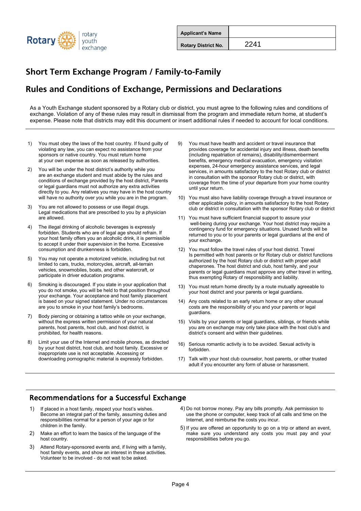

| <b>Applicant's Name</b>    |      |  |
|----------------------------|------|--|
| <b>Rotary District No.</b> | 2241 |  |

# **Rules and Conditions of Exchange, Permissions and Declarations**

As a Youth Exchange student sponsored by a Rotary club or district, you must agree to the following rules and conditions of exchange. Violation of any of these rules may result in dismissal from the program and immediate return home, at student's expense. Please note that districts may edit this document or insert additional rules if needed to account for local conditions.

- 1) You must obey the laws of the host country. If found guilty of violating any law, you can expect no assistance from your sponsors or native country. You must return home at your own expense as soon as released by authorities.
- 2) You will be under the host district's authority while you are an exchange student and must abide by the rules and conditions of exchange provided by the host district, Parents or legal guardians must not authorize any extra activities directly to you. Any relatives you may have in the host country will have no authority over you while you are in the program.
- 3) You are not allowed to possess or use illegal drugs. Legal medications that are prescribed to you by a physician are allowed.
- 4) The illegal drinking of alcoholic beverages is expressly forbidden. Students who are of legal age should refrain. If your host family offers you an alcoholic drink, it is permissible to accept it under their supervision in the home. Excessive consumption and drunkenness is forbidden.
- 5) You may not operate a motorized vehicle, including but not limited to cars, trucks, motorcycles, aircraft, all-terrain vehicles, snowmobiles, boats, and other watercraft, or participate in driver education programs.
- Smoking is discouraged. If you state in your application that you do not smoke, you will be held to that position throughout your exchange. Your acceptance and host family placement is based on your signed statement. Under no circumstances are you to smoke in your host family's bedrooms.
- 7) Body piercing or obtaining a tattoo while on your exchange, without the express written permission of your natural parents, host parents, host club, and host district, is prohibited, for health reasons.
- 8) Limit your use of the Internet and mobile phones, as directed by your host district, host club, and host family. Excessive or inappropriate use is not acceptable. Accessing or downloading pornographic material is expressly forbidden.
- 9) You must have health and accident or travel insurance that provides coverage for accidental injury and illness, death benefits (including repatriation of remains), disability/dismemberment benefits, emergency medical evacuation, emergency visitation expenses, 24-hour emergency assistance services, and legal services, in amounts satisfactory to the host Rotary club or district in consultation with the sponsor Rotary club or district, with coverage from the time of your departure from your home country until your return.
- 10) You must also have liability coverage through a travel insurance or other applicable policy, in amounts satisfactory to the host Rotary club or district in consultation with the sponsor Rotary club or district
- 11) You must have sufficient financial support to assure your well-being during your exchange. Your host district may require a contingency fund for emergency situations. Unused funds will be returned to you or to your parents or legal guardians at the end of your exchange.
- 12) You must follow the travel rules of your host district. Travel Is permitted with host parents or for Rotary club or district functions authorized by the host Rotary club or district with proper adult chaperones. The host district and club, host family, and your parents or legal guardians must approve any other travel in writing, thus exempting Rotary of responsibility and liability.
- 13) You must return home directly by a route mutually agreeable to your host district and your parents or legal guardians.
- 14) Any costs related to an early return home or any other unusual costs are the responsibility of you and your parents or legal guardians.
- 15) Visits by your parents or legal guardians, siblings, or friends while you are on exchange may only take place with the host club's and district's consent and within their guidelines.
- 16) Serious romantic activity is to be avoided. Sexual activity is forbidden.
- 17) Talk with your host club counselor, host parents, or other trusted adult if you encounter any form of abuse or harassment.

### Recommendations for a Successful Exchange

- 1) If placed in a host family, respect your host's wishes. Become an integral part of the family, assuming duties and responsibilities normal for a person of your age or for children in the family.
- 2) Make an effort to learn the basics of the language of the host country.
- 3) Attend Rotary-sponsored events and, if living with a family, host family events, and show an interest in these activities. Volunteer to be involved - do not wait to be asked.
- 4) Do not borrow money. Pay any bills promptly. Ask permission to use the phone or computer, keep track of all calls and time on the Internet, and reimburse the costs you incur.
- 5) If you are offered an opportunity to go on a trip or attend an event, make sure you understand any costs you must pay and your responsibilities before you go.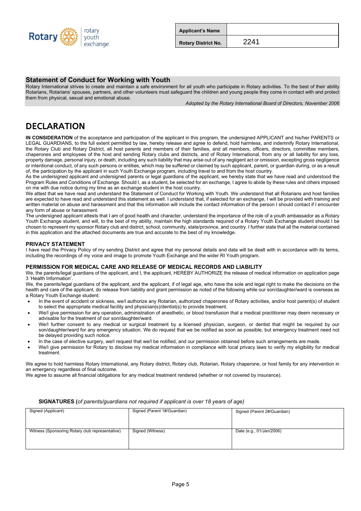

| <b>Applicant's Name</b>    |      |  |
|----------------------------|------|--|
| <b>Rotary District No.</b> | 2241 |  |

### **Statement of Conduct for Working with Youth**

Rotary International strives to create and maintain a safe environment for all youth who participate in Rotary activities. To the best of their ability Rotarians, Rotarians' spouses, partners, and other volunteers must safeguard the children and young people they come in contact with and protect them from physical, sexual and emotional abuse.

*Adopted by the Rotary International Board of Directors, November 2006*

## DECLARATION

**IN CONSIDERATION** of the acceptance and participation of the applicant in this program, the undersigned APPLICANT and his/her PARENTS or LEGAL GUARDIANS, to the full extent permitted by law, hereby release and agree to defend, hold harmless, and indemnify Rotary International, the Rotary Club and Rotary District, all host parents and members of their families, and all members, officers, directors, committee members, chaperones and employees of the host and sending Rotary clubs and districts, and of Rotary International, from any or all liability for any loss, property damage, personal injury, or death, including any such liability that may arise out of any negligent act or omission, excepting gross negligence or intentional conduct, of any such persons or entities, which may be suffered or claimed by such applicant, parent, or guardian during, or as a result of, the participation by the applicant in such Youth Exchange program, including travel to and from the host country.

As the undersigned applicant and undersigned parents or legal guardians of the applicant, we hereby state that we have read and understood the Program Rules and Conditions of Exchange. Should I, as a student, be selected for an exchange, I agree to abide by these rules and others imposed on me with due notice during my time as an exchange student in the host country.

We attest that we have read and understand the Statement of Conduct for Working with Youth. We understand that all Rotarians and host families are expected to have read and understand this statement as well. I understand that, if selected for an exchange, I will be provided with training and written material on abuse and harassment and that this information will include the contact information of the person I should contact if I encounter any form of abuse or harassment.

The undersigned applicant attests that I am of good health and character, understand the importance of the role of a youth ambassador as a Rotary Youth Exchange student, and will, to the best of my ability, maintain the high standards required of a Rotary Youth Exchange student should I be chosen to represent my sponsor Rotary club and district, school, community, state/province, and country. I further state that all the material contained in this application and the attached documents are true and accurate to the best of my knowledge.

#### **PRIVACY STATEMENT**

I have read the Privacy Policy of my sending District and agree that my personal details and data will be dealt with in accordance with its terms, including the recordings of my voice and image to promote Youth Exchange and the wider RI Youth program.

#### **PERMISSION FOR MEDICAL CARE AND RELEASE OF MEDICAL RECORDS AND LIABILITY**

We, the parents/legal guardians of the applicant, and I, the applicant, HEREBY AUTHORIZE the release of medical information on application page 3 'Health Information'.

We, the parents/legal guardians of the applicant, and the applicant, if of legal age, who have the sole and legal right to make the decisions on the health and care of the applicant, do release from liability and grant permission as noted of the following while our son/daughter/ward is overseas as a Rotary Youth Exchange student:

- In the event of accident or sickness, we/I authorize any Rotarian, authorized chaperones of Rotary activities, and/or host parent(s) of student to select the appropriate medical facility and physician(s)/dentist(s) to provide treatment.
- We/I give permission for any operation, administration of anesthetic, or blood transfusion that a medical practitioner may deem necessary or advisable for the treatment of our son/daughter/ward.
- We/I further consent to any medical or surgical treatment by a licensed physician, surgeon, or dentist that might be required by our son/daughter/ward for any emergency situation. We do request that we be notified as soon as possible, but emergency treatment need not be delayed providing such notice.
- In the case of elective surgery, we/I request that we/I be notified, and our permission obtained before such arrangements are made.
- We/I give permission for Rotary to disclose my medical information in compliance with local privacy laws to verify my eligibility for medical treatment.

We agree to hold harmless Rotary International, any Rotary district, Rotary club, Rotarian, Rotary chaperone, or host family for any intervention in an emergency regardless of final outcome.

We agree to assume all financial obligations for any medical treatment rendered (whether or not covered by insurance).

| Signed (Applicant)                              | Signed (Parent 1#/Guardian) | Signed (Parent 2#/Guardian) |
|-------------------------------------------------|-----------------------------|-----------------------------|
|                                                 |                             |                             |
|                                                 |                             |                             |
|                                                 |                             |                             |
|                                                 |                             |                             |
| Witness (Sponsoring Rotary club representative) | Signed (Witness)            | Date (e.g., 01/Jan/2006)    |
|                                                 |                             |                             |
|                                                 |                             |                             |
|                                                 |                             |                             |
|                                                 |                             |                             |

#### **SIGNATURES (***of parents/guardians not required if applicant is over 18 years of age)*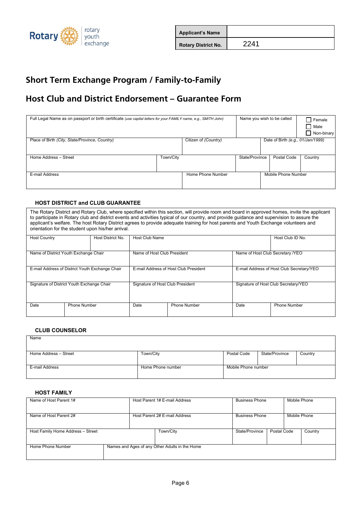

| <b>Applicant's Name</b>    |      |  |
|----------------------------|------|--|
| <b>Rotary District No.</b> | 2241 |  |

# **Host Club and District Endorsement – Guarantee Form**

| Full Legal Name as on passport or birth certificate (use capital letters for your FAMILY name, e.g., SMITH John) |           |                      | Name you wish to be called |                     | <b>Female</b><br>  Male<br>Non-binary |
|------------------------------------------------------------------------------------------------------------------|-----------|----------------------|----------------------------|---------------------|---------------------------------------|
| Place of Birth (City, State/Province, Country)                                                                   |           | Citizen of (Country) |                            |                     | Date of Birth (e.g., 01/Jan/1999)     |
| Home Address - Street                                                                                            | Town/City |                      | State/Province             | Postal Code         | Country                               |
| E-mail Address                                                                                                   |           | Home Phone Number    |                            | Mobile Phone Number |                                       |

### **HOST DISTRICT and CLUB GUARANTEE**

The Rotary District and Rotary Club, where specified within this section, will provide room and board in approved homes, invite the applicant to participate in Rotary club and district events and activities typical of our country, and provide guidance and supervision to assure the applicant's welfare. The host Rotary District agrees to provide adequate training for host parents and Youth Exchange volunteers and orientation for the student upon his/her arrival*.*

| <b>Host Country</b>                             |                     | Host District No. | <b>Host Club Name</b>            |                                       |                                  | Host Club ID No.                          |
|-------------------------------------------------|---------------------|-------------------|----------------------------------|---------------------------------------|----------------------------------|-------------------------------------------|
|                                                 |                     |                   |                                  |                                       |                                  |                                           |
| Name of District Youth Exchange Chair           |                     |                   | Name of Host Club President      |                                       | Name of Host Club Secretary /YEO |                                           |
|                                                 |                     |                   |                                  |                                       |                                  |                                           |
|                                                 |                     |                   |                                  |                                       |                                  |                                           |
| E-mail Address of District Youth Exchange Chair |                     |                   |                                  | E-mail Address of Host Club President |                                  | E-mail Address of Host Club Secretary/YEO |
|                                                 |                     |                   |                                  |                                       |                                  |                                           |
|                                                 |                     |                   |                                  |                                       |                                  |                                           |
| Signature of District Youth Exchange Chair      |                     |                   | Signature of Host Club President |                                       |                                  | Signature of Host Club Secretary/YEO      |
|                                                 |                     |                   |                                  |                                       |                                  |                                           |
|                                                 |                     |                   |                                  |                                       |                                  |                                           |
|                                                 |                     |                   |                                  |                                       |                                  |                                           |
| Date                                            | <b>Phone Number</b> |                   | Date                             | <b>Phone Number</b>                   | Date                             | <b>Phone Number</b>                       |
|                                                 |                     |                   |                                  |                                       |                                  |                                           |
|                                                 |                     |                   |                                  |                                       |                                  |                                           |

### **CLUB COUNSELOR**

| Name                  |                   |                     |                |         |
|-----------------------|-------------------|---------------------|----------------|---------|
|                       |                   |                     |                |         |
| Home Address - Street | Town/City         | Postal Code         | State/Province | Country |
| E-mail Address        | Home Phone number | Mobile Phone number |                |         |

### **HOST FAMILY**

| Name of Host Parent 1#            |  | Host Parent 1# E-mail Address                  | <b>Business Phone</b> |             | Mobile Phone |         |
|-----------------------------------|--|------------------------------------------------|-----------------------|-------------|--------------|---------|
| Name of Host Parent 2#            |  | Host Parent 2# E-mail Address                  | <b>Business Phone</b> |             | Mobile Phone |         |
| Host Family Home Address - Street |  | Town/City                                      | State/Province        | Postal Code |              | Country |
| Home Phone Number                 |  | Names and Ages of any Other Adults in the Home |                       |             |              |         |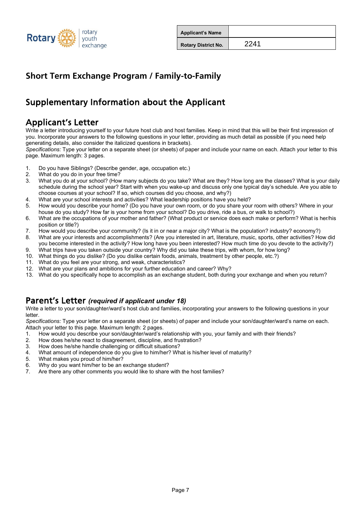

| <b>Applicant's Name</b>    |      |  |
|----------------------------|------|--|
| <b>Rotary District No.</b> | 2241 |  |

# Supplementary Information about the Applicant

# Applicant's Letter

Write a letter introducing yourself to your future host club and host families. Keep in mind that this will be their first impression of you. Incorporate your answers to the following questions in your letter, providing as much detail as possible (if you need help generating details, also consider the italicized questions in brackets).

*Specifications:* Type your letter on a separate sheet (or sheets) of paper and include your name on each. Attach your letter to this page. Maximum length: 3 pages.

1. Do you have Siblings? (Describe gender, age, occupation etc.)

- 2. What do you do in your free time?<br>3. What you do at your school? (How
- 3. What you do at your school? (How many subjects do you take? What are they? How long are the classes? What is your daily schedule during the school year? Start with when you wake-up and discuss only one typical day's schedule. Are you able to choose courses at your school? If so, which courses did you choose, and why?)
- 4. What are your school interests and activities? What leadership positions have you held?
- 5. How would you describe your home? (Do you have your own room, or do you share your room with others? Where in your house do you study? How far is your home from your school? Do you drive, ride a bus, or walk to school?)
- 6. What are the occupations of your mother and father? (What product or service does each make or perform? What is her/his position or title?)
- 7. How would you describe your community? (Is it in or near a major city? What is the population? industry? economy?)<br>8. What are your interests and accomplishments? (Are you interested in art. literature, music, sports, o
- 8. What are your interests and accomplishments? (Are you interested in art, literature, music, sports, other activities? How did you become interested in the activity? How long have you been interested? How much time do you devote to the activity?)
- 9. What trips have you taken outside your country? Why did you take these trips, with whom, for how long?<br>10. What things do vou dislike? (Do vou dislike certain foods, animals, treatment by other people, etc.?) 10. What things do you dislike? (Do you dislike certain foods, animals, treatment by other people, etc.?)
- What do you feel are your strong, and weak, characteristics?
- 12. What are your plans and ambitions for your further education and career? Why?
- 13. What do you specifically hope to accomplish as an exchange student, both during your exchange and when you return?

### Parent's Letter *(required if applicant under 18)*

Write a letter to your son/daughter/ward's host club and families, incorporating your answers to the following questions in your letter.

*Specifications:* Type your letter on a separate sheet (or sheets) of paper and include your son/daughter/ward's name on each. Attach your letter to this page. Maximum length: 2 pages.

- 1. How would you describe your son/daughter/ward's relationship with you, your family and with their friends?
- 2. How does he/she react to disagreement, discipline, and frustration?<br>3. How does he/she handle challenging or difficult situations?
- How does he/she handle challenging or difficult situations?
- 4. What amount of independence do you give to him/her? What is his/her level of maturity?
- 5. What makes you proud of him/her?<br>6. Why do you want him/her to be an
- 6. Why do you want him/her to be an exchange student?
- 7. Are there any other comments you would like to share with the host families?